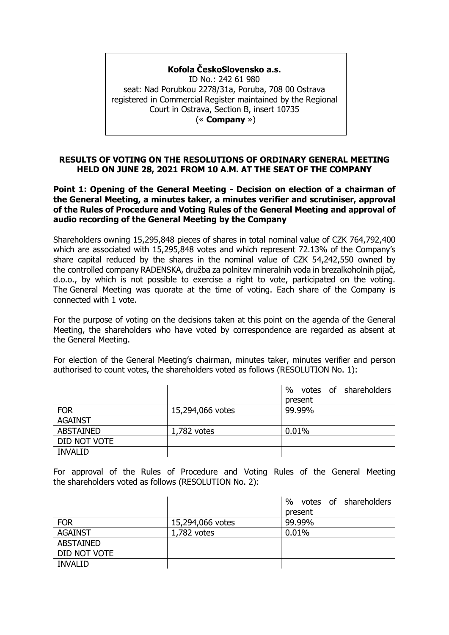## **Kofola ČeskoSlovensko a.s.**

ID No.: 242 61 980 seat: Nad Porubkou 2278/31a, Poruba, 708 00 Ostrava registered in Commercial Register maintained by the Regional Court in Ostrava, Section B, insert 10735 (« **Company** »)

#### **RESULTS OF VOTING ON THE RESOLUTIONS OF ORDINARY GENERAL MEETING HELD ON JUNE 28, 2021 FROM 10 A.M. AT THE SEAT OF THE COMPANY**

**Point 1: Opening of the General Meeting - Decision on election of a chairman of the General Meeting, a minutes taker, a minutes verifier and scrutiniser, approval of the Rules of Procedure and Voting Rules of the General Meeting and approval of audio recording of the General Meeting by the Company**

Shareholders owning 15,295,848 pieces of shares in total nominal value of CZK 764,792,400 which are associated with 15,295,848 votes and which represent 72.13% of the Company's share capital reduced by the shares in the nominal value of CZK 54,242,550 owned by the controlled company RADENSKA, družba za polnitev mineralnih voda in brezalkoholnih pijač, d.o.o., by which is not possible to exercise a right to vote, participated on the voting. The General Meeting was quorate at the time of voting. Each share of the Company is connected with 1 vote.

For the purpose of voting on the decisions taken at this point on the agenda of the General Meeting, the shareholders who have voted by correspondence are regarded as absent at the General Meeting.

For election of the General Meeting's chairman, minutes taker, minutes verifier and person authorised to count votes, the shareholders voted as follows (RESOLUTION No. 1):

|                  |                  | %<br>votes of shareholders |
|------------------|------------------|----------------------------|
|                  |                  | present                    |
| <b>FOR</b>       | 15,294,066 votes | 99.99%                     |
| <b>AGAINST</b>   |                  |                            |
| <b>ABSTAINED</b> | $1,782$ votes    | 0.01%                      |
| DID NOT VOTE     |                  |                            |
| <b>INVALID</b>   |                  |                            |

For approval of the Rules of Procedure and Voting Rules of the General Meeting the shareholders voted as follows (RESOLUTION No. 2):

|                  |                  | $\%$<br>votes of shareholders |
|------------------|------------------|-------------------------------|
|                  |                  | present                       |
| <b>FOR</b>       | 15,294,066 votes | 99.99%                        |
| <b>AGAINST</b>   | $1,782$ votes    | 0.01%                         |
| <b>ABSTAINED</b> |                  |                               |
| DID NOT VOTE     |                  |                               |
| <b>INVALID</b>   |                  |                               |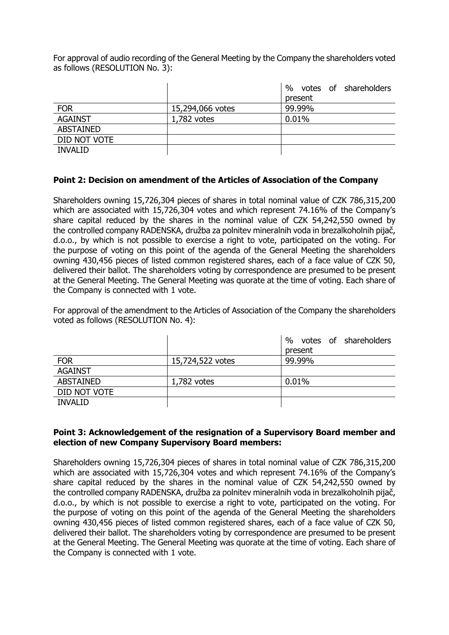For approval of audio recording of the General Meeting by the Company the shareholders voted as follows (RESOLUTION No. 3):

|                  |                  | %<br>votes of shareholders |
|------------------|------------------|----------------------------|
|                  |                  | present                    |
| <b>FOR</b>       | 15,294,066 votes | 99.99%                     |
| <b>AGAINST</b>   | $1,782$ votes    | 0.01%                      |
| <b>ABSTAINED</b> |                  |                            |
| DID NOT VOTE     |                  |                            |
| <b>INVALID</b>   |                  |                            |

#### **Point 2: Decision on amendment of the Articles of Association of the Company**

Shareholders owning 15,726,304 pieces of shares in total nominal value of CZK 786,315,200 which are associated with 15,726,304 votes and which represent 74.16% of the Company's share capital reduced by the shares in the nominal value of CZK 54,242,550 owned by the controlled company RADENSKA, družba za polnitev mineralnih voda in brezalkoholnih pijač, d.o.o., by which is not possible to exercise a right to vote, participated on the voting. For the purpose of voting on this point of the agenda of the General Meeting the shareholders owning 430,456 pieces of listed common registered shares, each of a face value of CZK 50, delivered their ballot. The shareholders voting by correspondence are presumed to be present at the General Meeting. The General Meeting was quorate at the time of voting. Each share of the Company is connected with 1 vote.

For approval of the amendment to the Articles of Association of the Company the shareholders voted as follows (RESOLUTION No. 4):

|                  |                  | votes of shareholders<br>$\%$ |
|------------------|------------------|-------------------------------|
|                  |                  | present                       |
| <b>FOR</b>       | 15,724,522 votes | 99.99%                        |
| <b>AGAINST</b>   |                  |                               |
| <b>ABSTAINED</b> | $1,782$ votes    | 0.01%                         |
| DID NOT VOTE     |                  |                               |
| <b>INVALID</b>   |                  |                               |

#### **Point 3: Acknowledgement of the resignation of a Supervisory Board member and election of new Company Supervisory Board members:**

Shareholders owning 15,726,304 pieces of shares in total nominal value of CZK 786,315,200 which are associated with 15,726,304 votes and which represent 74.16% of the Company's share capital reduced by the shares in the nominal value of CZK 54,242,550 owned by the controlled company RADENSKA, družba za polnitev mineralnih voda in brezalkoholnih pijač, d.o.o., by which is not possible to exercise a right to vote, participated on the voting. For the purpose of voting on this point of the agenda of the General Meeting the shareholders owning 430,456 pieces of listed common registered shares, each of a face value of CZK 50, delivered their ballot. The shareholders voting by correspondence are presumed to be present at the General Meeting. The General Meeting was quorate at the time of voting. Each share of the Company is connected with 1 vote.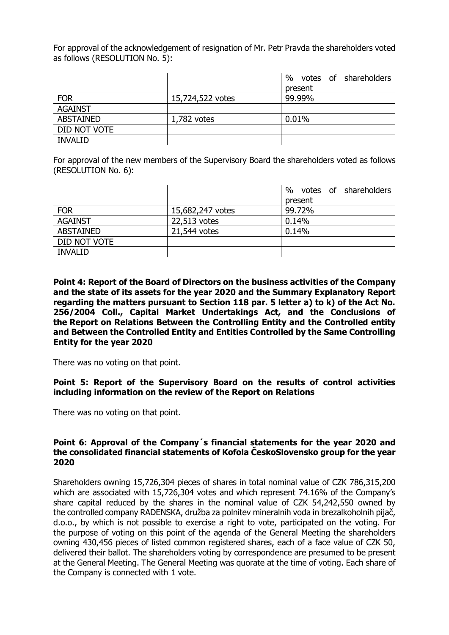For approval of the acknowledgement of resignation of Mr. Petr Pravda the shareholders voted as follows (RESOLUTION No. 5):

|                  |                  | $\%$<br>votes of shareholders |
|------------------|------------------|-------------------------------|
|                  |                  | present                       |
| <b>FOR</b>       | 15,724,522 votes | 99.99%                        |
| <b>AGAINST</b>   |                  |                               |
| <b>ABSTAINED</b> | $1,782$ votes    | 0.01%                         |
| DID NOT VOTE     |                  |                               |
| <b>INVALID</b>   |                  |                               |

For approval of the new members of the Supervisory Board the shareholders voted as follows (RESOLUTION No. 6):

|                  |                  | %<br>votes of shareholders |
|------------------|------------------|----------------------------|
|                  |                  | present                    |
| <b>FOR</b>       | 15,682,247 votes | 99.72%                     |
| <b>AGAINST</b>   | 22,513 votes     | 0.14%                      |
| <b>ABSTAINED</b> | 21,544 votes     | 0.14%                      |
| DID NOT VOTE     |                  |                            |
| <b>INVALID</b>   |                  |                            |

**Point 4: Report of the Board of Directors on the business activities of the Company and the state of its assets for the year 2020 and the Summary Explanatory Report regarding the matters pursuant to Section 118 par. 5 letter a) to k) of the Act No. 256/2004 Coll., Capital Market Undertakings Act, and the Conclusions of the Report on Relations Between the Controlling Entity and the Controlled entity and Between the Controlled Entity and Entities Controlled by the Same Controlling Entity for the year 2020**

There was no voting on that point.

**Point 5: Report of the Supervisory Board on the results of control activities including information on the review of the Report on Relations** 

There was no voting on that point.

#### **Point 6: Approval of the Company´s financial statements for the year 2020 and the consolidated financial statements of Kofola ČeskoSlovensko group for the year 2020**

Shareholders owning 15,726,304 pieces of shares in total nominal value of CZK 786,315,200 which are associated with 15,726,304 votes and which represent 74.16% of the Company's share capital reduced by the shares in the nominal value of CZK 54,242,550 owned by the controlled company RADENSKA, družba za polnitev mineralnih voda in brezalkoholnih pijač, d.o.o., by which is not possible to exercise a right to vote, participated on the voting. For the purpose of voting on this point of the agenda of the General Meeting the shareholders owning 430,456 pieces of listed common registered shares, each of a face value of CZK 50, delivered their ballot. The shareholders voting by correspondence are presumed to be present at the General Meeting. The General Meeting was quorate at the time of voting. Each share of the Company is connected with 1 vote.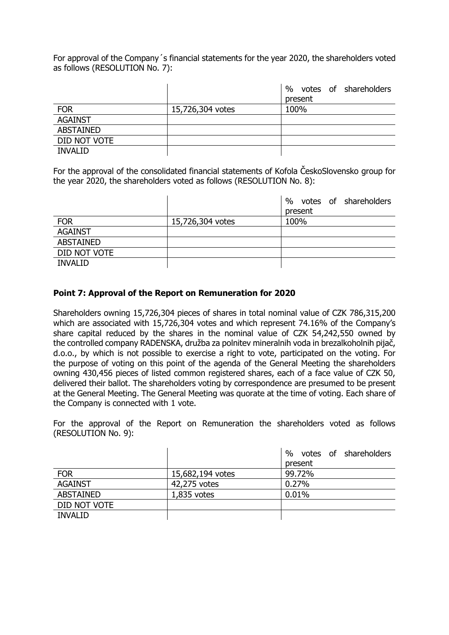For approval of the Company´s financial statements for the year 2020, the shareholders voted as follows (RESOLUTION No. 7):

|                  |                  | votes of shareholders<br>$\%$ |
|------------------|------------------|-------------------------------|
|                  |                  | present                       |
| <b>FOR</b>       | 15,726,304 votes | 100%                          |
| <b>AGAINST</b>   |                  |                               |
| <b>ABSTAINED</b> |                  |                               |
| DID NOT VOTE     |                  |                               |
| <b>INVALID</b>   |                  |                               |

For the approval of the consolidated financial statements of Kofola ČeskoSlovensko group for the year 2020, the shareholders voted as follows (RESOLUTION No. 8):

|                  |                  | %<br>votes of shareholders<br>present |
|------------------|------------------|---------------------------------------|
| <b>FOR</b>       | 15,726,304 votes | 100%                                  |
| <b>AGAINST</b>   |                  |                                       |
| <b>ABSTAINED</b> |                  |                                       |
| DID NOT VOTE     |                  |                                       |
| <b>INVALID</b>   |                  |                                       |

#### **Point 7: Approval of the Report on Remuneration for 2020**

Shareholders owning 15,726,304 pieces of shares in total nominal value of CZK 786,315,200 which are associated with 15,726,304 votes and which represent 74.16% of the Company's share capital reduced by the shares in the nominal value of CZK 54,242,550 owned by the controlled company RADENSKA, družba za polnitev mineralnih voda in brezalkoholnih pijač, d.o.o., by which is not possible to exercise a right to vote, participated on the voting. For the purpose of voting on this point of the agenda of the General Meeting the shareholders owning 430,456 pieces of listed common registered shares, each of a face value of CZK 50, delivered their ballot. The shareholders voting by correspondence are presumed to be present at the General Meeting. The General Meeting was quorate at the time of voting. Each share of the Company is connected with 1 vote.

For the approval of the Report on Remuneration the shareholders voted as follows (RESOLUTION No. 9):

|                  |                  | %<br>votes of shareholders |
|------------------|------------------|----------------------------|
|                  |                  | present                    |
| <b>FOR</b>       | 15,682,194 votes | 99.72%                     |
| <b>AGAINST</b>   | 42,275 votes     | 0.27%                      |
| <b>ABSTAINED</b> | $1,835$ votes    | 0.01%                      |
| DID NOT VOTE     |                  |                            |
| <b>INVALID</b>   |                  |                            |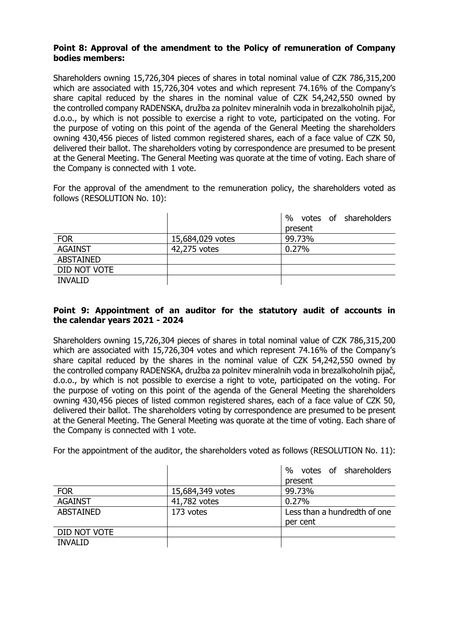## **Point 8: Approval of the amendment to the Policy of remuneration of Company bodies members:**

Shareholders owning 15,726,304 pieces of shares in total nominal value of CZK 786,315,200 which are associated with 15,726,304 votes and which represent 74.16% of the Company's share capital reduced by the shares in the nominal value of CZK 54,242,550 owned by the controlled company RADENSKA, družba za polnitev mineralnih voda in brezalkoholnih pijač, d.o.o., by which is not possible to exercise a right to vote, participated on the voting. For the purpose of voting on this point of the agenda of the General Meeting the shareholders owning 430,456 pieces of listed common registered shares, each of a face value of CZK 50, delivered their ballot. The shareholders voting by correspondence are presumed to be present at the General Meeting. The General Meeting was quorate at the time of voting. Each share of the Company is connected with 1 vote.

For the approval of the amendment to the remuneration policy, the shareholders voted as follows (RESOLUTION No. 10):

|                  |                  | votes of shareholders<br>$\frac{0}{0}$ |
|------------------|------------------|----------------------------------------|
|                  |                  | present                                |
| <b>FOR</b>       | 15,684,029 votes | 99.73%                                 |
| <b>AGAINST</b>   | 42,275 votes     | 0.27%                                  |
| <b>ABSTAINED</b> |                  |                                        |
| DID NOT VOTE     |                  |                                        |
| <b>INVALID</b>   |                  |                                        |

## **Point 9: Appointment of an auditor for the statutory audit of accounts in the calendar years 2021 - 2024**

Shareholders owning 15,726,304 pieces of shares in total nominal value of CZK 786,315,200 which are associated with 15,726,304 votes and which represent 74.16% of the Company's share capital reduced by the shares in the nominal value of CZK 54,242,550 owned by the controlled company RADENSKA, družba za polnitev mineralnih voda in brezalkoholnih pijač, d.o.o., by which is not possible to exercise a right to vote, participated on the voting. For the purpose of voting on this point of the agenda of the General Meeting the shareholders owning 430,456 pieces of listed common registered shares, each of a face value of CZK 50, delivered their ballot. The shareholders voting by correspondence are presumed to be present at the General Meeting. The General Meeting was quorate at the time of voting. Each share of the Company is connected with 1 vote.

For the appointment of the auditor, the shareholders voted as follows (RESOLUTION No. 11):

|                  |                  | votes of shareholders<br>$\%$ |
|------------------|------------------|-------------------------------|
|                  |                  | present                       |
| <b>FOR</b>       | 15,684,349 votes | 99.73%                        |
| <b>AGAINST</b>   | 41,782 votes     | 0.27%                         |
| <b>ABSTAINED</b> | 173 votes        | Less than a hundredth of one  |
|                  |                  | per cent                      |
| DID NOT VOTE     |                  |                               |
| <b>INVALID</b>   |                  |                               |